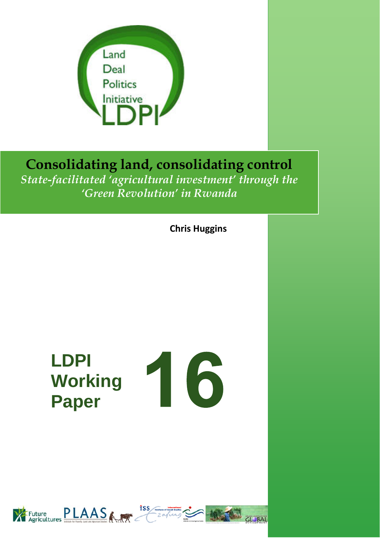

# **Consolidating land, consolidating control**  *State-facilitated 'agricultural investment' through the 'Green Revolution' in Rwanda*

**Chris Huggins**

# **LDPI Working Paper**



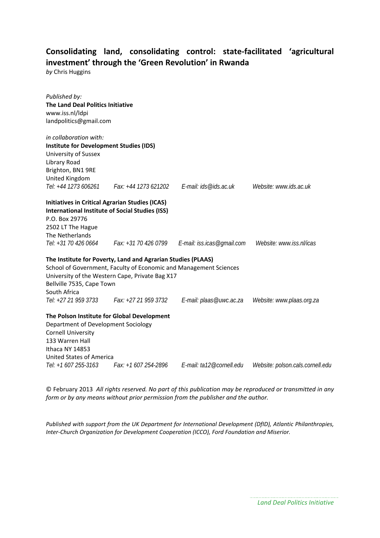# **Consolidating land, consolidating control: state‐facilitated 'agricultural investment' through the 'Green Revolution' in Rwanda**

*by* Chris Huggins

| Published by:<br>The Land Deal Politics Initiative<br>www.iss.nl/ldpi<br>landpolitics@gmail.com |                                                                                                                                                                                      |                                                                      |                                  |
|-------------------------------------------------------------------------------------------------|--------------------------------------------------------------------------------------------------------------------------------------------------------------------------------------|----------------------------------------------------------------------|----------------------------------|
| in collaboration with:                                                                          |                                                                                                                                                                                      |                                                                      |                                  |
| <b>Institute for Development Studies (IDS)</b><br>University of Sussex                          |                                                                                                                                                                                      |                                                                      |                                  |
| Library Road                                                                                    |                                                                                                                                                                                      |                                                                      |                                  |
| Brighton, BN1 9RE                                                                               |                                                                                                                                                                                      |                                                                      |                                  |
| United Kingdom                                                                                  |                                                                                                                                                                                      |                                                                      |                                  |
| Tel: +44 1273 606261                                                                            |                                                                                                                                                                                      | Fax: +44 1273 621202    E-mail: ids@ids.ac.uk                        | Website: www.ids.ac.uk           |
| <b>Initiatives in Critical Agrarian Studies (ICAS)</b>                                          |                                                                                                                                                                                      |                                                                      |                                  |
| <b>International Institute of Social Studies (ISS)</b>                                          |                                                                                                                                                                                      |                                                                      |                                  |
| P.O. Box 29776                                                                                  |                                                                                                                                                                                      |                                                                      |                                  |
| 2502 LT The Hague                                                                               |                                                                                                                                                                                      |                                                                      |                                  |
| The Netherlands                                                                                 |                                                                                                                                                                                      |                                                                      |                                  |
|                                                                                                 |                                                                                                                                                                                      | Tel: +31 70 426 0664 Fax: +31 70 426 0799 E-mail: iss.icas@gmail.com | Website: www.iss.nl/icas         |
| Bellville 7535, Cape Town<br>South Africa                                                       | The Institute for Poverty, Land and Agrarian Studies (PLAAS)<br>School of Government, Faculty of Economic and Management Sciences<br>University of the Western Cape, Private Bag X17 |                                                                      |                                  |
| Tel: +27 21 959 3733                                                                            | Fax: +27 21 959 3732                                                                                                                                                                 | E-mail: plaas@uwc.ac.za                                              | Website: www.plaas.org.za        |
|                                                                                                 | The Polson Institute for Global Development                                                                                                                                          |                                                                      |                                  |
| Department of Development Sociology                                                             |                                                                                                                                                                                      |                                                                      |                                  |
| <b>Cornell University</b>                                                                       |                                                                                                                                                                                      |                                                                      |                                  |
| 133 Warren Hall                                                                                 |                                                                                                                                                                                      |                                                                      |                                  |
| Ithaca NY 14853                                                                                 |                                                                                                                                                                                      |                                                                      |                                  |
| United States of America<br>Tel: +1 607 255-3163                                                |                                                                                                                                                                                      |                                                                      |                                  |
|                                                                                                 |                                                                                                                                                                                      |                                                                      | Website: polson.cals.cornell.edu |

© February 2013 *All rights reserved. No part of this publication may be reproduced or transmitted in any form or by any means without prior permission from the publisher and the author.*

*Published with support from the UK Department for International Development (DfID), Atlantic Philanthropies, Inter‐Church Organization for Development Cooperation (ICCO), Ford Foundation and Miserior.*

*Land Deal Politics Initiative*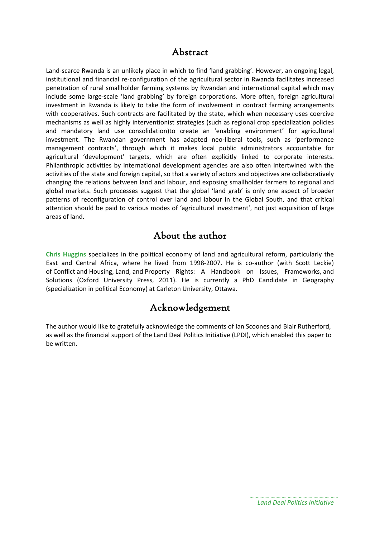# Abstract

Land-scarce Rwanda is an unlikely place in which to find 'land grabbing'. However, an ongoing legal, institutional and financial re‐configuration of the agricultural sector in Rwanda facilitates increased penetration of rural smallholder farming systems by Rwandan and international capital which may include some large‐scale 'land grabbing' by foreign corporations. More often, foreign agricultural investment in Rwanda is likely to take the form of involvement in contract farming arrangements with cooperatives. Such contracts are facilitated by the state, which when necessary uses coercive mechanisms as well as highly interventionist strategies (such as regional crop specialization policies and mandatory land use consolidation)to create an 'enabling environment' for agricultural investment. The Rwandan government has adapted neo-liberal tools, such as 'performance management contracts', through which it makes local public administrators accountable for agricultural 'development' targets, which are often explicitly linked to corporate interests. Philanthropic activities by international development agencies are also often intertwined with the activities of the state and foreign capital, so that a variety of actors and objectives are collaboratively changing the relations between land and labour, and exposing smallholder farmers to regional and global markets. Such processes suggest that the global 'land grab' is only one aspect of broader patterns of reconfiguration of control over land and labour in the Global South, and that critical attention should be paid to various modes of 'agricultural investment', not just acquisition of large areas of land.

# About the author

**Chris Huggins** specializes in the political economy of land and agricultural reform, particularly the East and Central Africa, where he lived from 1998-2007. He is co-author (with Scott Leckie) of Conflict and Housing, Land, and Property Rights: A Handbook on Issues, Frameworks, and Solutions (Oxford University Press, 2011). He is currently a PhD Candidate in Geography (specialization in political Economy) at Carleton University, Ottawa.

# Acknowledgement

The author would like to gratefully acknowledge the comments of Ian Scoones and Blair Rutherford, as well as the financial support of the Land Deal Politics Initiative (LPDI), which enabled this paper to be written.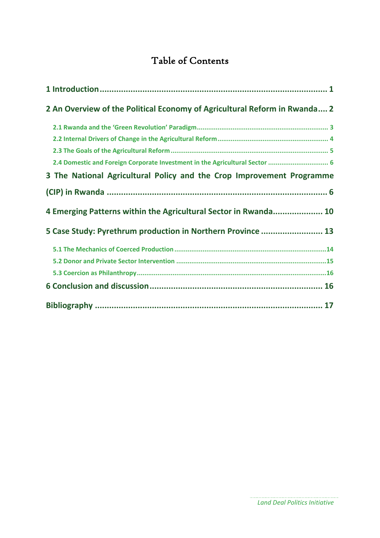# Table of Contents

| 2 An Overview of the Political Economy of Agricultural Reform in Rwanda 2   |  |
|-----------------------------------------------------------------------------|--|
|                                                                             |  |
|                                                                             |  |
|                                                                             |  |
| 2.4 Domestic and Foreign Corporate Investment in the Agricultural Sector  6 |  |
| 3 The National Agricultural Policy and the Crop Improvement Programme       |  |
|                                                                             |  |
| 4 Emerging Patterns within the Agricultural Sector in Rwanda 10             |  |
| 5 Case Study: Pyrethrum production in Northern Province  13                 |  |
|                                                                             |  |
|                                                                             |  |
|                                                                             |  |
|                                                                             |  |
|                                                                             |  |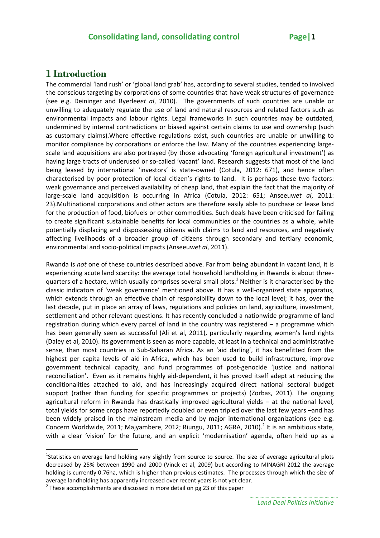# **1 Introduction**

The commercial 'land rush' or 'global land grab' has, according to several studies, tended to involved the conscious targeting by corporations of some countries that have weak structures of governance (see e.g. Deininger and Byerlee*et al*, 2010). The governments of such countries are unable or unwilling to adequately regulate the use of land and natural resources and related factors such as environmental impacts and labour rights. Legal frameworks in such countries may be outdated, undermined by internal contradictions or biased against certain claims to use and ownership (such as customary claims).Where effective regulations exist, such countries are unable or unwilling to monitor compliance by corporations or enforce the law. Many of the countries experiencing large‐ scale land acquisitions are also portrayed (by those advocating 'foreign agricultural investment') as having large tracts of underused or so-called 'vacant' land. Research suggests that most of the land being leased by international 'investors' is state-owned (Cotula, 2012: 671), and hence often characterised by poor protection of local citizen's rights to land. It is perhaps these two factors: weak governance and perceived availability of cheap land, that explain the fact that the majority of large‐scale land acquisition is occurring in Africa (Cotula, 2012: 651; Anseeuw*et al*, 2011: 23).Multinational corporations and other actors are therefore easily able to purchase or lease land for the production of food, biofuels or other commodities. Such deals have been criticised for failing to create significant sustainable benefits for local communities or the countries as a whole, while potentially displacing and dispossessing citizens with claims to land and resources, and negatively affecting livelihoods of a broader group of citizens through secondary and tertiary economic, environmental and socio‐political impacts (Anseeuw*et al*, 2011).

Rwanda is *not* one of these countries described above. Far from being abundant in vacant land, it is experiencing acute land scarcity: the average total household landholding in Rwanda is about three‐ quarters of a hectare, which usually comprises several small plots.<sup>1</sup> Neither is it characterised by the classic indicators of 'weak governance' mentioned above. It has a well‐organized state apparatus, which extends through an effective chain of responsibility down to the local level; it has, over the last decade, put in place an array of laws, regulations and policies on land, agriculture, investment, settlement and other relevant questions. It has recently concluded a nationwide programme of land registration during which every parcel of land in the country was registered – a programme which has been generally seen as successful (Ali et al, 2011), particularly regarding women's land rights (Daley et al, 2010). Its government is seen as more capable, at least in a technical and administrative sense, than most countries in Sub-Saharan Africa. As an 'aid darling', it has benefitted from the highest per capita levels of aid in Africa, which has been used to build infrastructure, improve government technical capacity, and fund programmes of post‐genocide 'justice and national reconciliation'. Even as it remains highly aid‐dependent, it has proved itself adept at reducing the conditionalities attached to aid, and has increasingly acquired direct national sectoral budget support (rather than funding for specific programmes or projects) (Zorbas, 2011). The ongoing agricultural reform in Rwanda has drastically improved agricultural yields – at the national level, total yields for some crops have reportedly doubled or even tripled over the last few years –and has been widely praised in the mainstream media and by major international organizations (see e.g. Concern Worldwide, 2011; Majyambere, 2012; Riungu, 2011; AGRA, 2010).<sup>2</sup> It is an ambitious state, with a clear 'vision' for the future, and an explicit 'modernisation' agenda, often held up as a

<sup>&</sup>lt;sup>1</sup>Statistics on average land holding vary slightly from source to source. The size of average agricultural plots decreased by 25% between 1990 and 2000 (Vinck et al, 2009) but according to MINAGRI 2012 the average holding is currently 0.76ha, which is higher than previous estimates. The processes through which the size of average landholding has apparently increased over recent years is not yet clear.<br><sup>2</sup> These accomplishments are discussed in more detail on pg 23 of this paper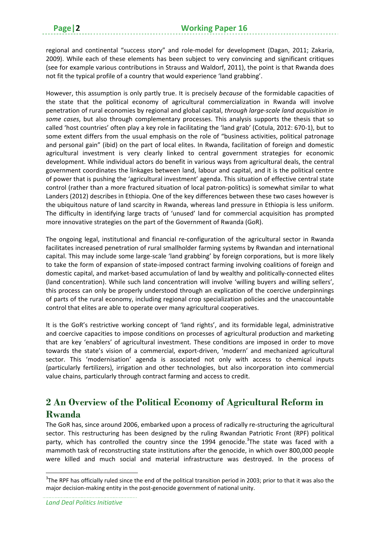regional and continental "success story" and role‐model for development (Dagan, 2011; Zakaria, 2009). While each of these elements has been subject to very convincing and significant critiques (see for example various contributions in Strauss and Waldorf, 2011), the point is that Rwanda does not fit the typical profile of a country that would experience 'land grabbing'.

However, this assumption is only partly true. It is precisely *because* of the formidable capacities of the state that the political economy of agricultural commercialization in Rwanda will involve penetration of rural economies by regional and global capital, *through large‐scale land acquisition in some cases*, but also through complementary processes. This analysis supports the thesis that so called 'host countries' often play a key role in facilitating the 'land grab' (Cotula, 2012: 670‐1), but to some extent differs from the usual emphasis on the role of "business activities, political patronage and personal gain" (ibid) on the part of local elites. In Rwanda, facilitation of foreign and domestic agricultural investment is very clearly linked to central government strategies for economic development. While individual actors do benefit in various ways from agricultural deals, the central government coordinates the linkages between land, labour and capital, and it is the political centre of power that is pushing the 'agricultural investment' agenda. This situation of effective central state control (rather than a more fractured situation of local patron‐politics) is somewhat similar to what Landers (2012) describes in Ethiopia. One of the key differences between these two cases however is the ubiquitous nature of land scarcity in Rwanda, whereas land pressure in Ethiopia is less uniform. The difficulty in identifying large tracts of 'unused' land for commercial acquisition has prompted more innovative strategies on the part of the Government of Rwanda (GoR).

The ongoing legal, institutional and financial re-configuration of the agricultural sector in Rwanda facilitates increased penetration of rural smallholder farming systems by Rwandan and international capital. This may include some large‐scale 'land grabbing' by foreign corporations, but is more likely to take the form of expansion of state-imposed contract farming involving coalitions of foreign and domestic capital, and market‐based accumulation of land by wealthy and politically‐connected elites (land concentration). While such land concentration will involve 'willing buyers and willing sellers', this process can only be properly understood through an explication of the coercive underpinnings of parts of the rural economy, including regional crop specialization policies and the unaccountable control that elites are able to operate over many agricultural cooperatives.

It is the GoR's restrictive working concept of 'land rights', and its formidable legal, administrative and coercive capacities to impose conditions on processes of agricultural production and marketing that are key 'enablers' of agricultural investment. These conditions are imposed in order to move towards the state's vision of a commercial, export‐driven, 'modern' and mechanized agricultural sector. This 'modernisation' agenda is associated not only with access to chemical inputs (particularly fertilizers), irrigation and other technologies, but also incorporation into commercial value chains, particularly through contract farming and access to credit.

# **2 An Overview of the Political Economy of Agricultural Reform in Rwanda**

The GoR has, since around 2006, embarked upon a process of radically re‐structuring the agricultural sector. This restructuring has been designed by the ruling Rwandan Patriotic Front (RPF) political party, which has controlled the country since the 1994 genocide.<sup>3</sup>The state was faced with a mammoth task of reconstructing state institutions after the genocide, in which over 800,000 people were killed and much social and material infrastructure was destroyed. In the process of

 $3$ The RPF has officially ruled since the end of the political transition period in 2003; prior to that it was also the major decision-making entity in the post-genocide government of national unity.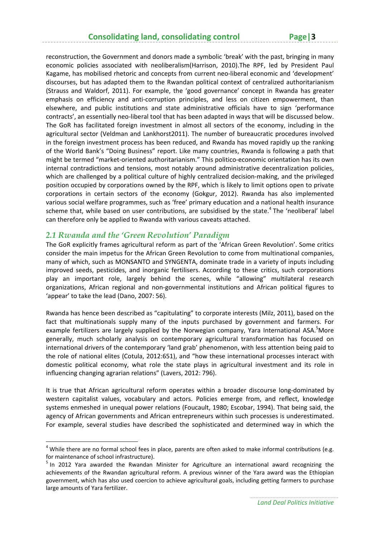reconstruction, the Government and donors made a symbolic 'break' with the past, bringing in many economic policies associated with neoliberalism(Harrison, 2010).The RPF, led by President Paul Kagame, has mobilised rhetoric and concepts from current neo‐liberal economic and 'development' discourses, but has adapted them to the Rwandan political context of centralized authoritarianism (Strauss and Waldorf, 2011). For example, the 'good governance' concept in Rwanda has greater emphasis on efficiency and anti-corruption principles, and less on citizen empowerment, than elsewhere, and public institutions and state administrative officials have to sign 'performance contracts', an essentially neo‐liberal tool that has been adapted in ways that will be discussed below. The GoR has facilitated foreign investment in almost all sectors of the economy, including in the agricultural sector (Veldman and Lankhorst2011). The number of bureaucratic procedures involved in the foreign investment process has been reduced, and Rwanda has moved rapidly up the ranking of the World Bank's "Doing Business" report. Like many countries, Rwanda is following a path that might be termed "market‐oriented authoritarianism." This politico‐economic orientation has its own internal contradictions and tensions, most notably around administrative decentralization policies, which are challenged by a political culture of highly centralized decision-making, and the privileged position occupied by corporations owned by the RPF, which is likely to limit options open to private corporations in certain sectors of the economy (Gokgur, 2012). Rwanda has also implemented various social welfare programmes, such as 'free' primary education and a national health insurance scheme that, while based on user contributions, are subsidised by the state.<sup>4</sup> The 'neoliberal' label can therefore only be applied to Rwanda with various caveats attached.

# *2.1 Rwanda and the 'Green Revolution' Paradigm*

The GoR explicitly frames agricultural reform as part of the 'African Green Revolution'. Some critics consider the main impetus for the African Green Revolution to come from multinational companies, many of which, such as MONSANTO and SYNGENTA, dominate trade in a variety of inputs including improved seeds, pesticides, and inorganic fertilisers. According to these critics, such corporations play an important role, largely behind the scenes, while "allowing" multilateral research organizations, African regional and non‐governmental institutions and African political figures to 'appear' to take the lead (Dano, 2007: 56).

Rwanda has hence been described as "capitulating" to corporate interests (Milz, 2011), based on the fact that multinationals supply many of the inputs purchased by government and farmers. For example fertilizers are largely supplied by the Norwegian company, Yara International ASA.<sup>5</sup>More generally, much scholarly analysis on contemporary agricultural transformation has focused on international drivers of the contemporary 'land grab' phenomenon, with less attention being paid to the role of national elites (Cotula, 2012:651), and "how these international processes interact with domestic political economy, what role the state plays in agricultural investment and its role in influencing changing agrarian relations" (Lavers, 2012: 796).

It is true that African agricultural reform operates within a broader discourse long‐dominated by western capitalist values, vocabulary and actors. Policies emerge from, and reflect, knowledge systems enmeshed in unequal power relations (Foucault, 1980; Escobar, 1994). That being said, the agency of African governments and African entrepreneurs within such processes is underestimated. For example, several studies have described the sophisticated and determined way in which the

 $4$  While there are no formal school fees in place, parents are often asked to make informal contributions (e.g.

for maintenance of school infrastructure).<br> $5$  In 2012 Yara awarded the Rwandan Minister for Agriculture an international award recognizing the achievements of the Rwandan agricultural reform. A previous winner of the Yara award was the Ethiopian government, which has also used coercion to achieve agricultural goals, including getting farmers to purchase large amounts of Yara fertilizer.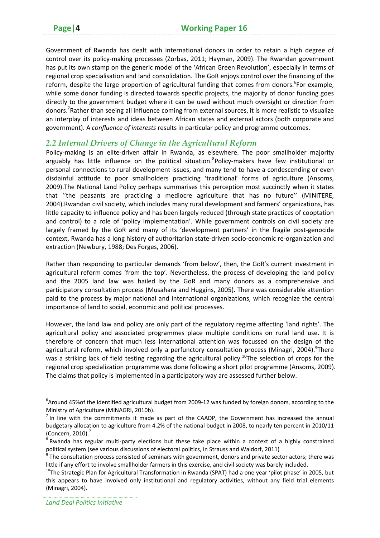Government of Rwanda has dealt with international donors in order to retain a high degree of control over its policy-making processes (Zorbas, 2011; Hayman, 2009). The Rwandan government has put its own stamp on the generic model of the 'African Green Revolution', especially in terms of regional crop specialisation and land consolidation. The GoR enjoys control over the financing of the reform, despite the large proportion of agricultural funding that comes from donors.<sup>6</sup>For example, while some donor funding is directed towards specific projects, the majority of donor funding goes directly to the government budget where it can be used without much oversight or direction from donors.<sup>7</sup>Rather than seeing all influence coming from external sources, it is more realistic to visualize an interplay of interests and ideas between African states and external actors (both corporate and government). A *confluence of interests* results in particular policy and programme outcomes.

# *2.2 Internal Drivers of Change in the Agricultural Reform*

Policy‐making is an elite‐driven affair in Rwanda, as elsewhere. The poor smallholder majority arguably has little influence on the political situation. <sup>8</sup>Policy-makers have few institutional or personal connections to rural development issues, and many tend to have a condescending or even disdainful attitude to poor smallholders practicing 'traditional' forms of agriculture (Ansoms, 2009).The National Land Policy perhaps summarises this perception most succinctly when it states that ''the peasants are practicing a mediocre agriculture that has no future'' (MINITERE, 2004).Rwandan civil society, which includes many rural development and farmers' organizations, has little capacity to influence policy and has been largely reduced (through state practices of cooptation and control) to a role of 'policy implementation'. While government controls on civil society are largely framed by the GoR and many of its 'development partners' in the fragile post-genocide context, Rwanda has a long history of authoritarian state‐driven socio‐economic re‐organization and extraction (Newbury, 1988; Des Forges, 2006).

Rather than responding to particular demands 'from below', then, the GoR's current investment in agricultural reform comes 'from the top'. Nevertheless, the process of developing the land policy and the 2005 land law was hailed by the GoR and many donors as a comprehensive and participatory consultation process (Musahara and Huggins, 2005). There was considerable attention paid to the process by major national and international organizations, which recognize the central importance of land to social, economic and political processes.

However, the land law and policy are only part of the regulatory regime affecting 'land rights'. The agricultural policy and associated programmes place multiple conditions on rural land use. It is therefore of concern that much less international attention was focussed on the design of the agricultural reform, which involved only a perfunctory consultation process (Minagri, 2004). <sup>9</sup>There was a striking lack of field testing regarding the agricultural policy.<sup>10</sup>The selection of crops for the regional crop specialization programme was done following a short pilot programme (Ansoms, 2009). The claims that policy is implemented in a participatory way are assessed further below.

 ${}^{6}$ Around 45%of the identified agricultural budget from 2009-12 was funded by foreign donors, according to the Ministry of Agriculture (MINAGRI, 2010b).<br><sup>7</sup> In line with the commitments it made as part of the CAADP, the Government has increased the annual

budgetary allocation to agriculture from 4.2% of the national budget in 2008, to nearly ten percent in 2010/11 (Concern, 2010). 7

 $8$  Rwanda has regular multi-party elections but these take place within a context of a highly constrained political system (see various discussions of electoral politics, in Strauss and Waldorf, 2011)<br><sup>9</sup> The consultation process consisted of seminars with government, donors and private sector actors; there was

little if any effort to involve smallholder farmers in this exercise, and civil society was barely included.  $^{10}$ The Strategic Plan for Agricultural Transformation in Rwanda (SPAT) had a one year 'pilot phase' in 2005

this appears to have involved only institutional and regulatory activities, without any field trial elements (Minagri, 2004).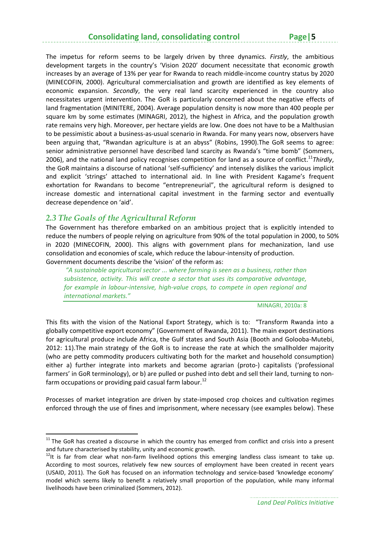The impetus for reform seems to be largely driven by three dynamics. *Firstly*, the ambitious development targets in the country's 'Vision 2020' document necessitate that economic growth increases by an average of 13% per year for Rwanda to reach middle‐income country status by 2020 (MINECOFIN, 2000). Agricultural commercialisation and growth are identified as key elements of economic expansion. *Secondly*, the very real land scarcity experienced in the country also necessitates urgent intervention. The GoR is particularly concerned about the negative effects of land fragmentation (MINITERE, 2004). Average population density is now more than 400 people per square km by some estimates (MINAGRI, 2012), the highest in Africa, and the population growth rate remains very high. Moreover, per hectare yields are low. One does not have to be a Malthusian to be pessimistic about a business‐as‐usual scenario in Rwanda. For many years now, observers have been arguing that, "Rwandan agriculture is at an abyss" (Robins, 1990).The GoR seems to agree: senior administrative personnel have described land scarcity as Rwanda's "time bomb" (Sommers, 2006), and the national land policy recognises competition for land as a source of conflict.<sup>11</sup>*Thirdly*, the GoR maintains a discourse of national 'self‐sufficiency' and intensely dislikes the various implicit and explicit 'strings' attached to international aid. In line with President Kagame's frequent exhortation for Rwandans to become "entrepreneurial", the agricultural reform is designed to increase domestic and international capital investment in the farming sector and eventually decrease dependence on 'aid'.

# *2.3 The Goals of the Agricultural Reform*

The Government has therefore embarked on an ambitious project that is explicitly intended to reduce the numbers of people relying on agriculture from 90% of the total population in 2000, to 50% in 2020 (MINECOFIN, 2000). This aligns with government plans for mechanization, land use consolidation and economies of scale, which reduce the labour‐intensity of production. Government documents describe the 'vision' of the reform as:

*"A sustainable agricultural sector ... where farming is seen as a business, rather than subsistence, activity. This will create a sector that uses its comparative advantage, for example in labour‐intensive, high‐value crops, to compete in open regional and international markets."* 

MINAGRI, 2010a: 8

This fits with the vision of the National Export Strategy, which is to: "Transform Rwanda into a globally competitive export economy" (Government of Rwanda, 2011). The main export destinations for agricultural produce include Africa, the Gulf states and South Asia (Booth and Golooba-Mutebi, 2012: 11).The main strategy of the GoR is to increase the rate at which the smallholder majority (who are petty commodity producers cultivating both for the market and household consumption) either a) further integrate into markets and become agrarian (proto‐) capitalists ('professional farmers' in GoR terminology), or b) are pulled or pushed into debt and sell their land, turning to nonfarm occupations or providing paid casual farm labour.<sup>12</sup>

Processes of market integration are driven by state‐imposed crop choices and cultivation regimes enforced through the use of fines and imprisonment, where necessary (see examples below). These

 $11$  The GoR has created a discourse in which the country has emerged from conflict and crisis into a present and future characterised by stability, unity and economic growth.<br><sup>12</sup>It is far from clear what non-farm livelihood options this emerging landless class ismeant to take up.

According to most sources, relatively few new sources of employment have been created in recent years (USAID, 2011). The GoR has focused on an information technology and service‐based 'knowledge economy' model which seems likely to benefit a relatively small proportion of the population, while many informal livelihoods have been criminalized (Sommers, 2012).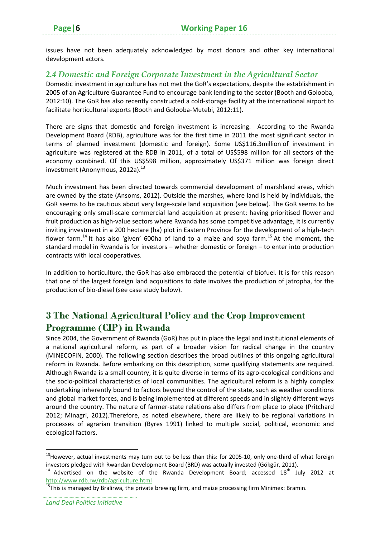issues have not been adequately acknowledged by most donors and other key international development actors.

# *2.4 Domestic and Foreign Corporate Investment in the Agricultural Sector*

Domestic investment in agriculture has not met the GoR's expectations, despite the establishment in 2005 of an Agriculture Guarantee Fund to encourage bank lending to the sector (Booth and Golooba, 2012:10). The GoR has also recently constructed a cold‐storage facility at the international airport to facilitate horticultural exports (Booth and Golooba‐Mutebi, 2012:11).

There are signs that domestic and foreign investment is increasing. According to the Rwanda Development Board (RDB), agriculture was for the first time in 2011 the most significant sector in terms of planned investment (domestic and foreign). Some US\$116.3million of investment in agriculture was registered at the RDB in 2011, of a total of US\$598 million for all sectors of the economy combined. Of this US\$598 million, approximately US\$371 million was foreign direct investment (Anonymous,  $2012a$ ).<sup>13</sup>

Much investment has been directed towards commercial development of marshland areas, which are owned by the state (Ansoms, 2012). Outside the marshes, where land is held by individuals, the GoR seems to be cautious about very large‐scale land acquisition (see below). The GoR seems to be encouraging only small‐scale commercial land acquisition at present: having prioritised flower and fruit production as high-value sectors where Rwanda has some competitive advantage, it is currently inviting investment in a 200 hectare (ha) plot in Eastern Province for the development of a high-tech flower farm.<sup>14</sup> It has also 'given' 600ha of land to a maize and sova farm.<sup>15</sup> At the moment, the standard model in Rwanda is for investors – whether domestic or foreign – to enter into production contracts with local cooperatives.

In addition to horticulture, the GoR has also embraced the potential of biofuel. It is for this reason that one of the largest foreign land acquisitions to date involves the production of jatropha, for the production of bio‐diesel (see case study below).

# **3 The National Agricultural Policy and the Crop Improvement Programme (CIP) in Rwanda**

Since 2004, the Government of Rwanda (GoR) has put in place the legal and institutional elements of a national agricultural reform, as part of a broader vision for radical change in the country (MINECOFIN, 2000). The following section describes the broad outlines of this ongoing agricultural reform in Rwanda. Before embarking on this description, some qualifying statements are required. Although Rwanda is a small country, it is quite diverse in terms of its agro‐ecological conditions and the socio‐political characteristics of local communities. The agricultural reform is a highly complex undertaking inherently bound to factors beyond the control of the state, such as weather conditions and global market forces, and is being implemented at different speeds and in slightly different ways around the country. The nature of farmer‐state relations also differs from place to place (Pritchard 2012; Minagri, 2012).Therefore, as noted elsewhere, there are likely to be regional variations in processes of agrarian transition (Byres 1991) linked to multiple social, political, economic and ecological factors.

<sup>&</sup>lt;sup>13</sup> However, actual investments may turn out to be less than this: for 2005-10, only one-third of what foreign investors pledged with Rwandan Development Board (BRD) was actually invested (Gökgür, 2011).

<sup>&</sup>lt;sup>14</sup> Advertised on the website of the Rwanda Development Board; accessed  $18<sup>th</sup>$  July 2012 at http://www.rdb.rw/rdb/agriculture.html

<sup>&</sup>lt;sup>15</sup>This is managed by Bralirwa, the private brewing firm, and maize processing firm Minimex: Bramin.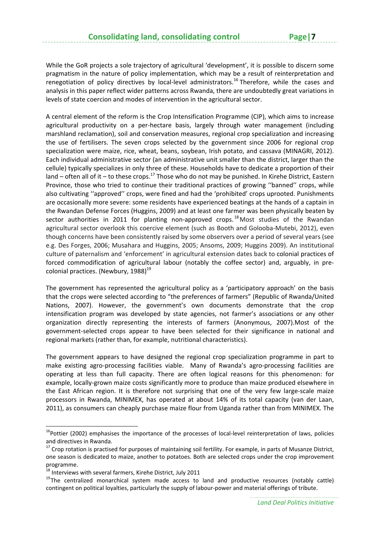While the GoR projects a sole trajectory of agricultural 'development', it is possible to discern some pragmatism in the nature of policy implementation, which may be a result of reinterpretation and renegotiation of policy directives by local-level administrators.<sup>16</sup> Therefore, while the cases and analysis in this paper reflect wider patterns across Rwanda, there are undoubtedly great variations in levels of state coercion and modes of intervention in the agricultural sector.

A central element of the reform is the Crop Intensification Programme (CIP), which aims to increase agricultural productivity on a per‐hectare basis, largely through water management (including marshland reclamation), soil and conservation measures, regional crop specialization and increasing the use of fertilisers. The seven crops selected by the government since 2006 for regional crop specialization were maize, rice, wheat, beans, soybean, Irish potato, and cassava (MINAGRI, 2012). Each individual administrative sector (an administrative unit smaller than the district, larger than the cellule) typically specializes in only three of these. Households have to dedicate a proportion of their land – often all of it – to these crops.<sup>17</sup> Those who do not may be punished. In Kirehe District, Eastern Province, those who tried to continue their traditional practices of growing ''banned'' crops, while also cultivating ''approved'' crops, were fined and had the 'prohibited' crops uprooted. Punishments are occasionally more severe: some residents have experienced beatings at the hands of a captain in the Rwandan Defense Forces (Huggins, 2009) and at least one farmer was been physically beaten by sector authorities in 2011 for planting non-approved crops.<sup>18</sup> Most studies of the Rwandan agricultural sector overlook this coercive element (such as Booth and Golooba‐Mutebi, 2012), even though concerns have been consistently raised by some observers over a period of several years (see e.g. Des Forges, 2006; Musahara and Huggins, 2005; Ansoms, 2009; Huggins 2009). An institutional culture of paternalism and 'enforcement' in agricultural extension dates back to colonial practices of forced commodification of agricultural labour (notably the coffee sector) and, arguably, in pre‐ colonial practices. (Newbury,  $1988$ )<sup>19</sup>

The government has represented the agricultural policy as a 'participatory approach' on the basis that the crops were selected according to "the preferences of farmers" (Republic of Rwanda/United Nations, 2007). However, the government's own documents demonstrate that the crop intensification program was developed by state agencies, not farmer's associations or any other organization directly representing the interests of farmers (Anonymous, 2007).Most of the government‐selected crops appear to have been selected for their significance in national and regional markets (rather than, for example, nutritional characteristics).

The government appears to have designed the regional crop specialization programme in part to make existing agro-processing facilities viable. Many of Rwanda's agro-processing facilities are operating at less than full capacity. There are often logical reasons for this phenomenon: for example, locally-grown maize costs significantly more to produce than maize produced elsewhere in the East African region. It is therefore not surprising that one of the very few large-scale maize processors in Rwanda, MINIMEX, has operated at about 14% of its total capacity (van der Laan, 2011), as consumers can cheaply purchase maize flour from Uganda rather than from MINIMEX. The

<sup>&</sup>lt;sup>16</sup>Pottier (2002) emphasises the importance of the processes of local-level reinterpretation of laws, policies

and directives in Rwanda.<br><sup>17</sup> Crop rotation is practised for purposes of maintaining soil fertility. For example, in parts of Musanze District, one season is dedicated to maize, another to potatoes. Both are selected crops under the crop improvement programme.<br><sup>18</sup> Interviews with several farmers, Kirehe District, July 2011

 $19$ The centralized monarchical system made access to land and productive resources (notably cattle) contingent on political loyalties, particularly the supply of labour-power and material offerings of tribute.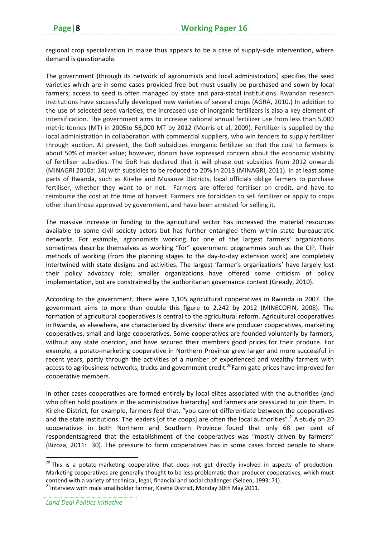regional crop specialization in maize thus appears to be a case of supply‐side intervention, where demand is questionable.

The government (through its network of agronomists and local administrators) specifies the seed varieties which are in some cases provided free but must usually be purchased and sown by local farmers; access to seed is often managed by state and para-statal institutions. Rwandan research institutions have successfully developed new varieties of several crops (AGRA, 2010.) In addition to the use of selected seed varieties, the increased use of inorganic fertilizers is also a key element of intensification. The government aims to increase national annual fertilizer use from less than 5,000 metric tonnes (MT) in 2005to 56,000 MT by 2012 (Morris et al, 2009). Fertilizer is supplied by the local administration in collaboration with commercial suppliers, who win tenders to supply fertilizer through auction. At present, the GoR subsidizes inorganic fertilizer so that the cost to farmers is about 50% of market value; however, donors have expressed concern about the economic viability of fertiliser subsidies. The GoR has declared that it will phase out subsidies from 2012 onwards (MINAGRI 2010a: 14) with subsidies to be reduced to 20% in 2013 (MINAGRI, 2011). In at least some parts of Rwanda, such as Kirehe and Musanze Districts, local officials oblige farmers to purchase fertiliser, whether they want to or not. Farmers are offered fertiliser on credit, and have to reimburse the cost at the time of harvest. Farmers are forbidden to sell fertilizer or apply to crops other than those approved by government, and have been arrested for selling it.

The massive increase in funding to the agricultural sector has increased the material resources available to some civil society actors but has further entangled them within state bureaucratic networks. For example, agronomists working for one of the largest farmers' organizations sometimes describe themselves as working "for" government programmes such as the CIP. Their methods of working (from the planning stages to the day-to-day extension work) are completely intertwined with state designs and activities. The largest 'farmer's organizations' have largely lost their policy advocacy role; smaller organizations have offered some criticism of policy implementation, but are constrained by the authoritarian governance context (Gready, 2010).

According to the government, there were 1,105 agricultural cooperatives in Rwanda in 2007. The government aims to more than double this figure to 2,242 by 2012 (MINECOFIN, 2008). The formation of agricultural cooperatives is central to the agricultural reform. Agricultural cooperatives in Rwanda, as elsewhere, are characterized by diversity: there are producer cooperatives, marketing cooperatives, small and large cooperatives. Some cooperatives are founded voluntarily by farmers, without any state coercion, and have secured their members good prices for their produce. For example, a potato‐marketing cooperative in Northern Province grew larger and more successful in recent years, partly through the activities of a number of experienced and wealthy farmers with access to agribusiness networks, trucks and government credit.<sup>20</sup>Farm-gate prices have improved for cooperative members.

In other cases cooperatives are formed entirely by local elites associated with the authorities (and who often hold positions in the administrative hierarchy) and farmers are pressured to join them. In Kirehe District, for example, farmers feel that, "you cannot differentiate between the cooperatives and the state institutions. The leaders [of the coops] are often the local authorities".<sup>21</sup>A study on 20 cooperatives in both Northern and Southern Province found that only 68 per cent of respondentsagreed that the establishment of the cooperatives was "mostly driven by farmers" (Bizoza, 2011: 30). The pressure to form cooperatives has in some cases forced people to share

<sup>&</sup>lt;sup>20</sup> This is a potato-marketing cooperative that does not get directly involved in aspects of production. Marketing cooperatives are generally thought to be less problematic than producer cooperatives, which must contend with a variety of technical, legal, financial and social challenges (Selden, 1993: 71).<br><sup>21</sup>Interview with male smallholder farmer, Kirehe District, Monday 30th May 2011.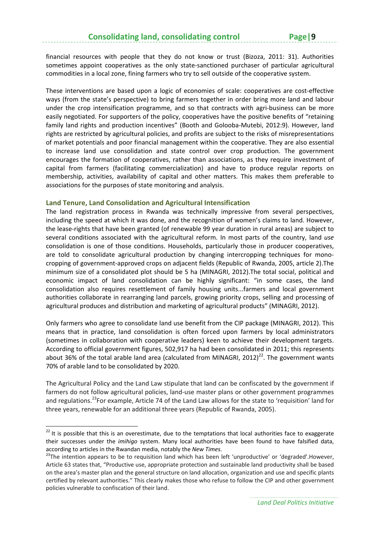financial resources with people that they do not know or trust (Bizoza, 2011: 31). Authorities sometimes appoint cooperatives as the only state-sanctioned purchaser of particular agricultural commodities in a local zone, fining farmers who try to sell outside of the cooperative system.

These interventions are based upon a logic of economies of scale: cooperatives are cost-effective ways (from the state's perspective) to bring farmers together in order bring more land and labour under the crop intensification programme, and so that contracts with agri-business can be more easily negotiated. For supporters of the policy, cooperatives have the positive benefits of "retaining family land rights and production incentives" (Booth and Golooba-Mutebi, 2012:9). However, land rights are restricted by agricultural policies, and profits are subject to the risks of misrepresentations of market potentials and poor financial management within the cooperative. They are also essential to increase land use consolidation and state control over crop production. The government encourages the formation of cooperatives, rather than associations, as they require investment of capital from farmers (facilitating commercialization) and have to produce regular reports on membership, activities, availability of capital and other matters. This makes them preferable to associations for the purposes of state monitoring and analysis.

#### **Land Tenure, Land Consolidation and Agricultural Intensification**

The land registration process in Rwanda was technically impressive from several perspectives, including the speed at which it was done, and the recognition of women's claims to land. However, the lease‐rights that have been granted (of renewable 99 year duration in rural areas) are subject to several conditions associated with the agricultural reform. In most parts of the country, land *use* consolidation is one of those conditions. Households, particularly those in producer cooperatives, are told to consolidate agricultural production by changing intercropping techniques for monocropping of government‐approved crops on adjacent fields (Republic of Rwanda, 2005, article 2).The minimum size of a consolidated plot should be 5 ha (MINAGRI, 2012).The total social, political and economic impact of land consolidation can be highly significant: "in some cases, the land consolidation also requires resettlement of family housing units...farmers and local government authorities collaborate in rearranging land parcels, growing priority crops, selling and processing of agricultural produces and distribution and marketing of agricultural products" (MINAGRI, 2012).

Only farmers who agree to consolidate land use benefit from the CIP package (MINAGRI, 2012). This means that in practice, land consolidation is often forced upon farmers by local administrators (sometimes in collaboration with cooperative leaders) keen to achieve their development targets. According to official government figures, 502,917 ha had been consolidated in 2011; this represents about 36% of the total arable land area (calculated from MINAGRI, 2012)<sup>22</sup>. The government wants 70% of arable land to be consolidated by 2020.

The Agricultural Policy and the Land Law stipulate that land can be confiscated by the government if farmers do not follow agricultural policies, land-use master plans or other government programmes and regulations.<sup>23</sup>For example, Article 74 of the Land Law allows for the state to 'requisition' land for three years, renewable for an additional three years (Republic of Rwanda, 2005).

 $22$  It is possible that this is an overestimate, due to the temptations that local authorities face to exaggerate their successes under the *imihigo* system. Many local authorities have been found to have falsified data, according to articles in the Rwandan media, notably the *New Times*.<br><sup>23</sup>The intention appears to be to requisition land which has been left 'unproductive' or 'degraded'.However,

Article 63 states that, "Productive use, appropriate protection and sustainable land productivity shall be based on the area's master plan and the general structure on land allocation, organization and use and specific plants certified by relevant authorities." This clearly makes those who refuse to follow the CIP and other government policies vulnerable to confiscation of their land.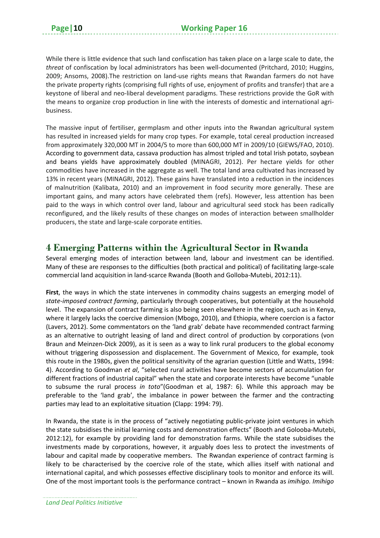While there is little evidence that such land confiscation has taken place on a large scale to date, the *threat* of confiscation by local administrators has been well‐documented (Pritchard, 2010; Huggins, 2009; Ansoms, 2008).The restriction on land‐use rights means that Rwandan farmers do not have the private property rights (comprising full rights of use, enjoyment of profits and transfer) that are a keystone of liberal and neo‐liberal development paradigms. These restrictions provide the GoR with the means to organize crop production in line with the interests of domestic and international agribusiness.

The massive input of fertiliser, germplasm and other inputs into the Rwandan agricultural system has resulted in increased yields for many crop types. For example, total cereal production increased from approximately 320,000 MT in 2004/5 to more than 600,000 MT in 2009/10 (GIEWS/FAO, 2010). According to government data, cassava production has almost tripled and total Irish potato, soybean and beans yields have approximately doubled (MINAGRI, 2012). Per hectare yields for other commodities have increased in the aggregate as well. The total land area cultivated has increased by 13% in recent years (MINAGRI, 2012). These gains have translated into a reduction in the incidences of malnutrition (Kalibata, 2010) and an improvement in food security more generally. These are important gains, and many actors have celebrated them (refs). However, less attention has been paid to the ways in which control over land, labour and agricultural seed stock has been radically reconfigured, and the likely results of these changes on modes of interaction between smallholder producers, the state and large‐scale corporate entities.

# **4 Emerging Patterns within the Agricultural Sector in Rwanda**

Several emerging modes of interaction between land, labour and investment can be identified. Many of these are responses to the difficulties (both practical and political) of facilitating large-scale commercial land acquisition in land‐scarce Rwanda (Booth and Golloba‐Mutebi, 2012:11).

**First**, the ways in which the state intervenes in commodity chains suggests an emerging model of *state‐imposed contract farming*, particularly through cooperatives, but potentially at the household level. The expansion of contract farming is also being seen elsewhere in the region, such as in Kenya, where it largely lacks the coercive dimension (Mbogo, 2010), and Ethiopia, where coercion is a factor (Lavers, 2012). Some commentators on the 'land grab' debate have recommended contract farming as an alternative to outright leasing of land and direct control of production by corporations (von Braun and Meinzen‐Dick 2009), as it is seen as a way to link rural producers to the global economy without triggering dispossession and displacement. The Government of Mexico, for example, took this route in the 1980s, given the political sensitivity of the agrarian question (Little and Watts, 1994: 4). According to Goodman *et al*, "selected rural activities have become sectors of accumulation for different fractions of industrial capital" when the state and corporate interests have become "unable to subsume the rural process *in toto*"(Goodman et al, 1987: 6). While this approach may be preferable to the 'land grab', the imbalance in power between the farmer and the contracting parties may lead to an exploitative situation (Clapp: 1994: 79).

In Rwanda, the state is in the process of "actively negotiating public-private joint ventures in which the state subsidises the initial learning costs and demonstration effects" (Booth and Golooba‐Mutebi, 2012:12), for example by providing land for demonstration farms. While the state subsidises the investments made by corporations, however, it arguably does less to protect the investments of labour and capital made by cooperative members. The Rwandan experience of contract farming is likely to be characterised by the coercive role of the state, which allies itself with national and international capital, and which possesses effective disciplinary tools to monitor and enforce its will. One of the most important tools is the performance contract – known in Rwanda as *imihigo. Imihigo*

*Land Deal Politics Initiative*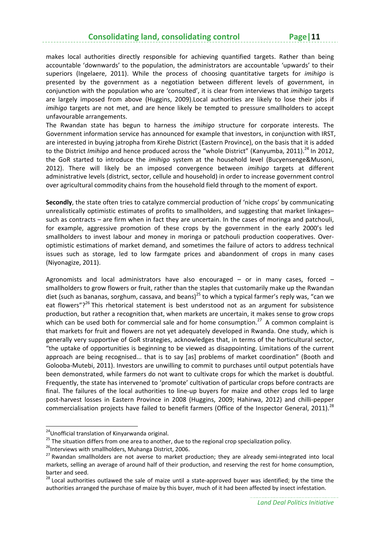makes local authorities directly responsible for achieving quantified targets. Rather than being accountable 'downwards' to the population, the administrators are accountable 'upwards' to their superiors (Ingelaere, 2011). While the process of choosing quantitative targets for *imihigo* is presented by the government as a negotiation between different levels of government, in conjunction with the population who are 'consulted', it is clear from interviews that *imihigo* targets are largely imposed from above (Huggins, 2009).Local authorities are likely to lose their jobs if *imihigo* targets are not met, and are hence likely be tempted to pressure smallholders to accept unfavourable arrangements.

The Rwandan state has begun to harness the *imihigo* structure for corporate interests. The Government information service has announced for example that investors, in conjunction with IRST, are interested in buying jatropha from Kirehe District (Eastern Province), on the basis that it is added to the District *Imihigo* and hence produced across the "whole District" (Kanyumba, 2011).<sup>24</sup> In 2012, the GoR started to introduce the *imihigo* system at the household level (Bucyensenge&Musoni, 2012). There will likely be an imposed convergence between *imihigo* targets at different administrative levels (district, sector, cellule and household) in order to increase government control over agricultural commodity chains from the household field through to the moment of export.

**Secondly**, the state often tries to catalyze commercial production of 'niche crops' by communicating unrealistically optimistic estimates of profits to smallholders, and suggesting that market linkages– such as contracts – are firm when in fact they are uncertain. In the cases of moringa and patchouli, for example, aggressive promotion of these crops by the government in the early 2000's led smallholders to invest labour and money in moringa or patchouli production cooperatives. Over‐ optimistic estimations of market demand, and sometimes the failure of actors to address technical issues such as storage, led to low farmgate prices and abandonment of crops in many cases (Niyonagize, 2011).

Agronomists and local administrators have also encouraged  $-$  or in many cases, forced  $$ smallholders to grow flowers or fruit, rather than the staples that customarily make up the Rwandan diet (such as bananas, sorghum, cassava, and beans)<sup>25</sup> to which a typical farmer's reply was, "can we eat flowers"?<sup>26</sup> This rhetorical statement is best understood not as an argument for subsistence production, but rather a recognition that, when markets are uncertain, it makes sense to grow crops which can be used both for commercial sale and for home consumption. $27$  A common complaint is that markets for fruit and flowers are not yet adequately developed in Rwanda. One study, which is generally very supportive of GoR strategies, acknowledges that, in terms of the horticultural sector, "the uptake of opportunities is beginning to be viewed as disappointing. Limitations of the current approach are being recognised... that is to say [as] problems of market coordination" (Booth and Golooba‐Mutebi, 2011). Investors are unwilling to commit to purchases until output potentials have been demonstrated, while farmers do not want to cultivate crops for which the market is doubtful. Frequently, the state has intervened to 'promote' cultivation of particular crops before contracts are final. The failures of the local authorities to line‐up buyers for maize and other crops led to large post-harvest losses in Eastern Province in 2008 (Huggins, 2009; Hahirwa, 2012) and chilli-pepper commercialisation projects have failed to benefit farmers (Office of the Inspector General, 2011).<sup>28</sup>

<sup>&</sup>lt;sup>24</sup>Unofficial translation of Kinyarwanda original.<br><sup>25</sup> The situation differs from one area to another, due to the regional crop specialization policy.<br><sup>25</sup> Interviews with smallholders, Muhanga District, 2006.<br><sup>27</sup> Rwan markets, selling an average of around half of their production, and reserving the rest for home consumption,

barter and seed.<br><sup>28</sup> Local authorities outlawed the sale of maize until a state-approved buyer was identified; by the time the authorities arranged the purchase of maize by this buyer, much of it had been affected by insect infestation.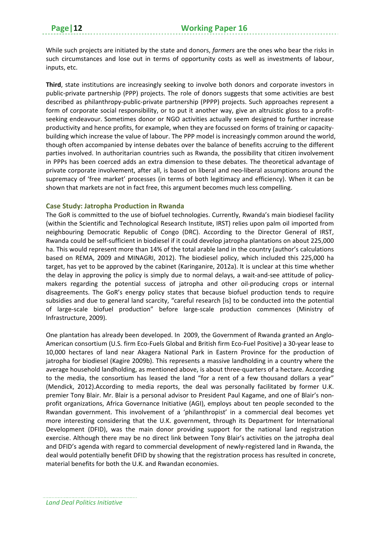While such projects are initiated by the state and donors, *farmers* are the ones who bear the risks in such circumstances and lose out in terms of opportunity costs as well as investments of labour, inputs, etc.

**Third**, state institutions are increasingly seeking to involve both donors and corporate investors in public‐private partnership (PPP) projects. The role of donors suggests that some activities are best described as philanthropy‐public‐private partnership (PPPP) projects. Such approaches represent a form of corporate social responsibility, or to put it another way, give an altruistic gloss to a profitseeking endeavour. Sometimes donor or NGO activities actually seem designed to further increase productivity and hence profits, for example, when they are focussed on forms of training or capacity‐ building which increase the value of labour. The PPP model is increasingly common around the world, though often accompanied by intense debates over the balance of benefits accruing to the different parties involved. In authoritarian countries such as Rwanda, the possibility that citizen involvement in PPPs has been coerced adds an extra dimension to these debates. The theoretical advantage of private corporate involvement, after all, is based on liberal and neo-liberal assumptions around the supremacy of 'free market' processes (in terms of both legitimacy and efficiency). When it can be shown that markets are not in fact free, this argument becomes much less compelling.

#### **Case Study: Jatropha Production in Rwanda**

The GoR is committed to the use of biofuel technologies. Currently, Rwanda's main biodiesel facility (within the Scientific and Technological Research Institute, IRST) relies upon palm oil imported from neighbouring Democratic Republic of Congo (DRC). According to the Director General of IRST, Rwanda could be self‐sufficient in biodiesel if it could develop jatropha plantations on about 225,000 ha. This would represent more than 14% of the total arable land in the country (author's calculations based on REMA, 2009 and MINAGRI, 2012). The biodiesel policy, which included this 225,000 ha target, has yet to be approved by the cabinet (Karinganire, 2012a). It is unclear at this time whether the delay in approving the policy is simply due to normal delays, a wait-and-see attitude of policymakers regarding the potential success of jatropha and other oil‐producing crops or internal disagreements. The GoR's energy policy states that because biofuel production tends to require subsidies and due to general land scarcity, "careful research [is] to be conducted into the potential of large‐scale biofuel production" before large‐scale production commences (Ministry of Infrastructure, 2009).

One plantation has already been developed. In 2009, the Government of Rwanda granted an Anglo‐ American consortium (U.S. firm Eco‐Fuels Global and British firm Eco‐Fuel Positive) a 30‐year lease to 10,000 hectares of land near Akagera National Park in Eastern Province for the production of jatropha for biodiesel (Kagire 2009b). This represents a massive landholding in a country where the average household landholding, as mentioned above, is about three-quarters of a hectare. According to the media, the consortium has leased the land "for a rent of a few thousand dollars a year" (Mendick, 2012).According to media reports, the deal was personally facilitated by former U.K. premier Tony Blair. Mr. Blair is a personal advisor to President Paul Kagame, and one of Blair's non‐ profit organizations, Africa Governance Initiative (AGI), employs about ten people seconded to the Rwandan government. This involvement of a 'philanthropist' in a commercial deal becomes yet more interesting considering that the U.K. government, through its Department for International Development (DFID), was the main donor providing support for the national land registration exercise. Although there may be no direct link between Tony Blair's activities on the jatropha deal and DFID's agenda with regard to commercial development of newly-registered land in Rwanda, the deal would potentially benefit DFID by showing that the registration process has resulted in concrete, material benefits for both the U.K. and Rwandan economies.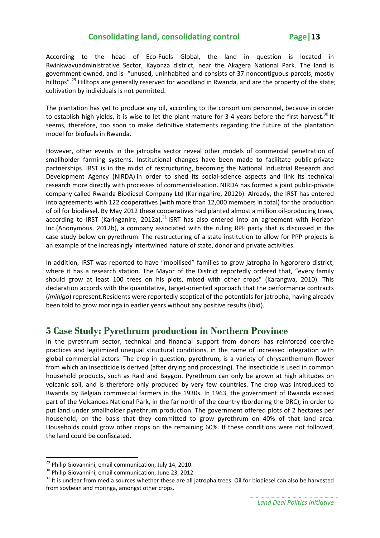According to the head of Eco‐Fuels Global, the land in question is located in Rwinkwavuadministrative Sector, Kayonza district, near the Akagera National Park. The land is government‐owned, and is "unused, uninhabited and consists of 37 noncontiguous parcels, mostly hilltops".<sup>29</sup> Hilltops are generally reserved for woodland in Rwanda, and are the property of the state; cultivation by individuals is not permitted.

The plantation has yet to produce any oil, according to the consortium personnel, because in order to establish high yields, it is wise to let the plant mature for 3-4 years before the first harvest.<sup>30</sup> It seems, therefore, too soon to make definitive statements regarding the future of the plantation model for biofuels in Rwanda.

However, other events in the jatropha sector reveal other models of commercial penetration of smallholder farming systems. Institutional changes have been made to facilitate public‐private partnerships. IRST is in the midst of restructuring, becoming the National Industrial Research and Development Agency (NIRDA) in order to shed its social‐science aspects and link its technical research more directly with processes of commercialisation. NIRDA has formed a joint public‐private company called Rwanda Biodiesel Company Ltd (Karinganire, 2012b). Already, the IRST has entered into agreements with 122 cooperatives (with more than 12,000 members in total) for the production of oil for biodiesel. By May 2012 these cooperatives had planted almost a million oil‐producing trees, according to IRST (Karinganire, 2012a). $31$  ISRT has also entered into an agreement with Horizon Inc.(Anonymous, 2012b), a company associated with the ruling RPF party that is discussed in the case study below on pyrethrum. The restructuring of a state institution to allow for PPP projects is an example of the increasingly intertwined nature of state, donor and private activities.

In addition, IRST was reported to have "mobilised" families to grow jatropha in Ngororero district, where it has a research station. The Mayor of the District reportedly ordered that, "every family should grow at least 100 trees on his plots, mixed with other crops" (Karangwa, 2010). This declaration accords with the quantitative, target‐oriented approach that the performance contracts (*imihigo*) represent.Residents were reportedly sceptical of the potentials for jatropha, having already been told to grow moringa in earlier years without any positive results (ibid).

# **5 Case Study: Pyrethrum production in Northern Province**

In the pyrethrum sector, technical and financial support from donors has reinforced coercive practices and legitimized unequal structural conditions, in the name of increased integration with global commercial actors. The crop in question, pyrethrum, is a variety of chrysanthemum flower from which an insecticide is derived (after drying and processing). The insecticide is used in common household products, such as Raid and Baygon. Pyrethrum can only be grown at high altitudes on volcanic soil, and is therefore only produced by very few countries. The crop was introduced to Rwanda by Belgian commercial farmers in the 1930s. In 1963, the government of Rwanda excised part of the Volcanoes National Park, in the far north of the country (bordering the DRC), in order to put land under smallholder pyrethrum production. The government offered plots of 2 hectares per household, on the basis that they committed to grow pyrethrum on 40% of that land area. Households could grow other crops on the remaining 60%. If these conditions were not followed, the land could be confiscated.

<sup>&</sup>lt;sup>29</sup> Philip Giovannini, email communication, July 14, 2010.

 $30$  Philip Giovannini, email communication, June 23, 2012.<br> $31$  It is unclear from media sources whether these are all jatropha trees. Oil for biodiesel can also be harvested from soybean and moringa, amongst other crops.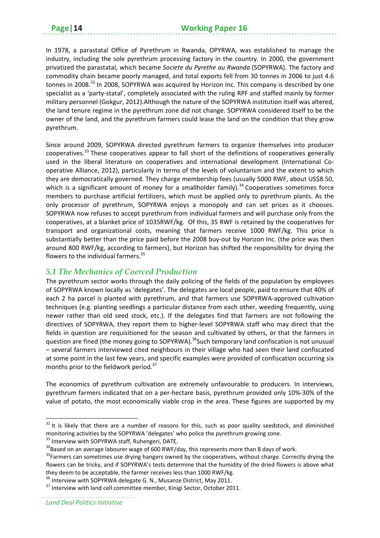In 1978, a parastatal Office of Pyrethrum in Rwanda, OPYRWA, was established to manage the industry, including the sole pyrethrum processing factory in the country. In 2000, the government privatized the parastatal, which became *Societe du Pyrethe au Rwanda* (SOPYRWA). The factory and commodity chain became poorly managed, and total exports fell from 30 tonnes in 2006 to just 4.6 tonnes in 2008.<sup>32</sup> In 2008, SOPYRWA was acquired by Horizon Inc. This company is described by one specialist as a 'party-statal', completely associated with the ruling RPF and staffed mainly by former military personnel (Gokgur, 2012).Although the nature of the SOPYRWA institution itself was altered, the land tenure regime in the pyrethrum zone did not change. SOPYRWA considered itself to be the owner of the land, and the pyrethrum farmers could lease the land on the condition that they grow pyrethrum.

Since around 2009, SOPYRWA directed pyrethrum farmers to organize themselves into producer cooperatives.<sup>33</sup> These cooperatives appear to fall short of the definitions of cooperatives generally used in the liberal literature on cooperatives and international development (International Co‐ operative Alliance, 2012), particularly in terms of the levels of voluntarism and the extent to which they are democratically governed. They charge membership fees (usually 5000 RWF, about US\$8.50, which is a significant amount of money for a smallholder family).<sup>34</sup> Cooperatives sometimes force members to purchase artificial fertilizers, which must be applied only to pyrethrum plants. As the only processor of pyrethrum, SOPYRWA enjoys a monopoly and can set prices as it chooses. SOPYRWA now refuses to accept pyrethrum from individual farmers and will purchase only from the cooperatives, at a blanket price of 1035RWF/kg. Of this, 35 RWF is retained by the cooperatives for transport and organizational costs, meaning that farmers receive 1000 RWF/kg. This price is substantially better than the price paid before the 2008 buy-out by Horizon Inc. (the price was then around 800 RWF/kg, according to farmers), but Horizon has shifted the responsibility for drying the flowers to the individual farmers. $35$ 

# *5.1 The Mechanics of Coerced Production*

The pyrethrum sector works through the daily policing of the fields of the population by employees of SOPYRWA known locally as 'delegates'. The delegates are local people, paid to ensure that 40% of each 2 ha parcel is planted with pyrethrum, and that farmers use SOPYRWA-approved cultivation techniques (e.g. planting seedlings a particular distance from each other, weeding frequently, using newer rather than old seed stock, etc.). If the delegates find that farmers are not following the directives of SOPYRWA, they report them to higher‐level SOPYRWA staff who may direct that the fields in question are requisitioned for the season and cultivated by others, or that the farmers in question are fined (the money going to SOPYRWA).<sup>36</sup>Such temporary land confiscation is not unusual – several farmers interviewed cited neighbours in their village who had seen their land confiscated at some point in the last few years, and specific examples were provided of confiscation occurring six months prior to the fieldwork period.<sup>37</sup>

The economics of pyrethrum cultivation are extremely unfavourable to producers. In interviews, pyrethrum farmers indicated that on a per‐hectare basis, pyrethrum provided only 10%‐30% of the value of potato, the most economically viable crop in the area. These figures are supported by my

 $32$  It is likely that there are a number of reasons for this, such as poor quality seedstock, and diminished monitoring activities by the SOPYRWA 'delegates' who police the pyrethrum growing zone.<br><sup>33</sup> Interview with SOPYRWA staff, Ruhengeri, DATE.<br><sup>34</sup>Based on an average labourer wage of 600 RWF/day, this represents more than 8

flowers can be tricky, and if SOPYRWA's tests determine that the humidity of the dried flowers is above what they deem to be acceptable, the farmer receives less than 1000 RWF/kg.<br><sup>36</sup> Interview with SOPYRWA delegate G. N., Musanze District, May 2011.<br><sup>37</sup> Interview with land cell committee member, Kinigi Sector, October 2011.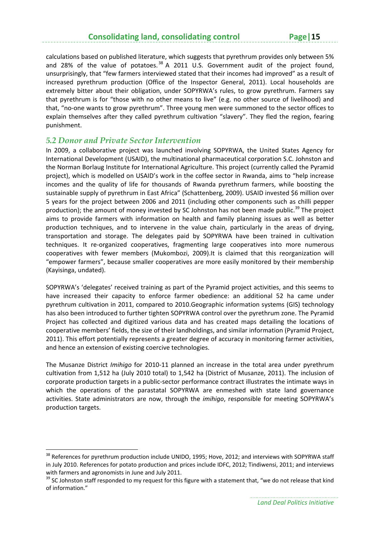calculations based on published literature, which suggests that pyrethrum provides only between 5% and 28% of the value of potatoes. $38$  A 2011 U.S. Government audit of the project found, unsurprisingly, that "few farmers interviewed stated that their incomes had improved" as a result of increased pyrethrum production (Office of the Inspector General, 2011). Local households are extremely bitter about their obligation, under SOPYRWA's rules, to grow pyrethrum. Farmers say that pyrethrum is for "those with no other means to live" (e.g. no other source of livelihood) and that, "no-one wants to grow pyrethrum". Three young men were summoned to the sector offices to explain themselves after they called pyrethrum cultivation "slavery". They fled the region, fearing punishment.

#### *5.2 Donor and Private Sector Intervention*

In 2009, a collaborative project was launched involving SOPYRWA, the United States Agency for International Development (USAID), the multinational pharmaceutical corporation S.C. Johnston and the Norman Borlaug Institute for International Agriculture. This project (currently called the Pyramid project), which is modelled on USAID's work in the coffee sector in Rwanda, aims to "help increase incomes and the quality of life for thousands of Rwanda pyrethrum farmers, while boosting the sustainable supply of pyrethrum in East Africa" (Schattenberg, 2009). USAID invested \$6 million over 5 years for the project between 2006 and 2011 (including other components such as chilli pepper production); the amount of money invested by SC Johnston has not been made public.<sup>39</sup> The project aims to provide farmers with information on health and family planning issues as well as better production techniques, and to intervene in the value chain, particularly in the areas of drying, transportation and storage. The delegates paid by SOPYRWA have been trained in cultivation techniques. It re-organized cooperatives, fragmenting large cooperatives into more numerous cooperatives with fewer members (Mukombozi, 2009).It is claimed that this reorganization will "empower farmers", because smaller cooperatives are more easily monitored by their membership (Kayisinga, undated).

SOPYRWA's 'delegates' received training as part of the Pyramid project activities, and this seems to have increased their capacity to enforce farmer obedience: an additional 52 ha came under pyrethrum cultivation in 2011, compared to 2010.Geographic information systems (GIS) technology has also been introduced to further tighten SOPYRWA control over the pyrethrum zone. The Pyramid Project has collected and digitized various data and has created maps detailing the locations of cooperative members' fields, the size of their landholdings, and similar information (Pyramid Project, 2011). This effort potentially represents a greater degree of accuracy in monitoring farmer activities, and hence an extension of existing coercive technologies.

The Musanze District *Imihigo* for 2010-11 planned an increase in the total area under pyrethrum cultivation from 1,512 ha (July 2010 total) to 1,542 ha (District of Musanze, 2011). The inclusion of corporate production targets in a public‐sector performance contract illustrates the intimate ways in which the operations of the parastatal SOPYRWA are enmeshed with state land governance activities. State administrators are now, through the *imihigo*, responsible for meeting SOPYRWA's production targets.

<sup>&</sup>lt;sup>38</sup> References for pyrethrum production include UNIDO, 1995; Hove, 2012; and interviews with SOPYRWA staff in July 2010. References for potato production and prices include IDFC, 2012; Tindiwensi, 2011; and interviews with farmers and agronomists in June and July 2011.<br><sup>39</sup> SC Johnston staff responded to my request for this figure with a statement that, "we do not release that kind

of information."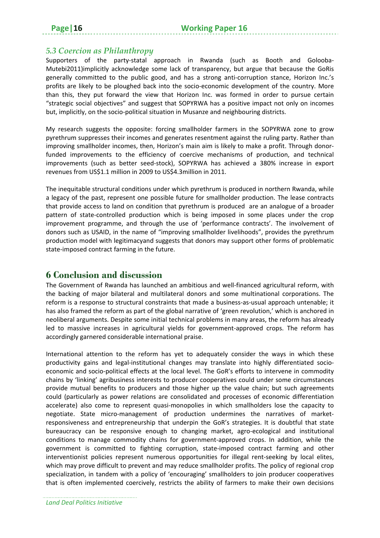# *5.3 Coercion as Philanthropy*

Supporters of the party-statal approach in Rwanda (such as Booth and Golooba-Mutebi2011)implicitly acknowledge some lack of transparency, but argue that because the GoRis generally committed to the public good, and has a strong anti-corruption stance, Horizon Inc.'s profits are likely to be ploughed back into the socio‐economic development of the country. More than this, they put forward the view that Horizon Inc. was formed in order to pursue certain "strategic social objectives" and suggest that SOPYRWA has a positive impact not only on incomes but, implicitly, on the socio-political situation in Musanze and neighbouring districts.

My research suggests the opposite: forcing smallholder farmers in the SOPYRWA zone to grow pyrethrum suppresses their incomes and generates resentment against the ruling party. Rather than improving smallholder incomes, then, Horizon's main aim is likely to make a profit. Through donorfunded improvements to the efficiency of coercive mechanisms of production, and technical improvements (such as better seed‐stock), SOPYRWA has achieved a 380% increase in export revenues from US\$1.1 million in 2009 to US\$4.3million in 2011.

The inequitable structural conditions under which pyrethrum is produced in northern Rwanda, while a legacy of the past, represent one possible future for smallholder production. The lease contracts that provide access to land on condition that pyrethrum is produced are an analogue of a broader pattern of state‐controlled production which is being imposed in some places under the crop improvement programme, and through the use of 'performance contracts'. The involvement of donors such as USAID, in the name of "improving smallholder livelihoods", provides the pyrethrum production model with legitimacyand suggests that donors may support other forms of problematic state‐imposed contract farming in the future.

# **6 Conclusion and discussion**

The Government of Rwanda has launched an ambitious and well‐financed agricultural reform, with the backing of major bilateral and multilateral donors and some multinational corporations. The reform is a response to structural constraints that made a business‐as‐usual approach untenable; it has also framed the reform as part of the global narrative of 'green revolution,' which is anchored in neoliberal arguments. Despite some initial technical problems in many areas, the reform has already led to massive increases in agricultural yields for government‐approved crops. The reform has accordingly garnered considerable international praise.

International attention to the reform has yet to adequately consider the ways in which these productivity gains and legal-institutional changes may translate into highly differentiated socioeconomic and socio‐political effects at the local level. The GoR's efforts to intervene in commodity chains by 'linking' agribusiness interests to producer cooperatives could under some circumstances provide mutual benefits to producers and those higher up the value chain; but such agreements could (particularly as power relations are consolidated and processes of economic differentiation accelerate) also come to represent quasi-monopolies in which smallholders lose the capacity to negotiate. State micro-management of production undermines the narratives of marketresponsiveness and entrepreneurship that underpin the GoR's strategies. It is doubtful that state bureaucracy can be responsive enough to changing market, agro‐ecological and institutional conditions to manage commodity chains for government‐approved crops. In addition, while the government is committed to fighting corruption, state-imposed contract farming and other interventionist policies represent numerous opportunities for illegal rent-seeking by local elites, which may prove difficult to prevent and may reduce smallholder profits. The policy of regional crop specialization, in tandem with a policy of 'encouraging' smallholders to join producer cooperatives that is often implemented coercively, restricts the ability of farmers to make their own decisions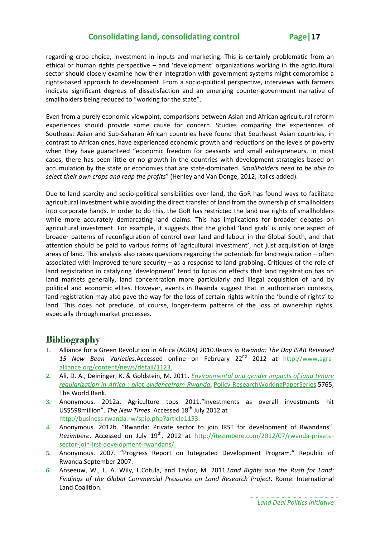regarding crop choice, investment in inputs and marketing. This is certainly problematic from an ethical or human rights perspective – and 'development' organizations working in the agricultural sector should closely examine how their integration with government systems might compromise a rights‐based approach to development. From a socio‐political perspective, interviews with farmers indicate significant degrees of dissatisfaction and an emerging counter‐government narrative of smallholders being reduced to "working for the state".

Even from a purely economic viewpoint, comparisons between Asian and African agricultural reform experiences should provide some cause for concern. Studies comparing the experiences of Southeast Asian and Sub‐Saharan African countries have found that Southeast Asian countries, in contrast to African ones, have experienced economic growth and reductions on the levels of poverty when they have guaranteed "economic freedom for peasants and small entrepreneurs. In most cases, there has been little or no growth in the countries with development strategies based on accumulation by the state or economies that are state‐dominated. *Smallholders need to be able to select their own crops and reap the profits*" (Henley and Van Donge, 2012; italics added).

Due to land scarcity and socio‐political sensibilities over land, the GoR has found ways to facilitate agricultural investment while avoiding the direct transfer of land from the ownership of smallholders into corporate hands. In order to do this, the GoR has restricted the land use rights of smallholders while more accurately demarcating land claims. This has implications for broader debates on agricultural investment. For example, it suggests that the global 'land grab' is only one aspect of broader patterns of reconfiguration of control over land and labour in the Global South, and that attention should be paid to various forms of 'agricultural investment', not just acquisition of large areas of land. This analysis also raises questions regarding the potentials for land registration – often associated with improved tenure security – as a response to land grabbing. Critiques of the role of land registration in catalyzing 'development' tend to focus on effects that land registration has on land markets generally, land concentration more particularly and illegal acquisition of land by political and economic elites. However, events in Rwanda suggest that in authoritarian contexts, land registration may also pave the way for the loss of certain rights within the 'bundle of rights' to land. This does not preclude, of course, longer-term patterns of the loss of ownership rights, especially through market processes.

# **Bibliography**

- **1.** Alliance for a Green Revolution in Africa (AGRA) 2010.*Beans in Rwanda: The Day ISAR Released* 15 New Bean Varieties.Accessed online on February 22<sup>nd</sup> 2012 at http://www.agraalliance.org/content/news/detail/1123.
- **2.** Ali, D. A., Deininger, K. & Goldstein, M. 2011. *Environmental and gender impacts of land tenure regularization in Africa : pilot evidencefrom Rwanda*, Policy ResearchWorkingPaperSeries 5765, The World Bank.
- **3.** Anonymous. 2012a. Agriculture tops 2011."Investments as overall investments hit US\$598million". *The New Times*. Accessed 18th July 2012 at http://business.rwanda.rw/spip.php?article1153.
- **4.** Anonymous. 2012b. "Rwanda: Private sector to join IRST for development of Rwandans". *Itezimbere*. Accessed on July 19<sup>th</sup>, 2012 at http://itezimbere.com/2012/07/rwanda-privatesector‐join‐irst‐development‐rwandans/.
- **5.** Anonymous. 2007. "Progress Report on Integrated Development Program." Republic of Rwanda.September 2007.
- **6.** Anseeuw, W., L. A. Wily, L.Cotula, and Taylor, M. 2011.*Land Rights and the Rush for Land: Findings of the Global Commercial Pressures on Land Research Project*. Rome: International Land Coalition.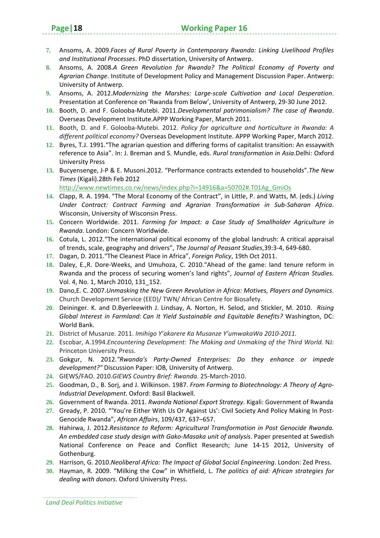- **7.** Ansoms, A. 2009.*Faces of Rural Poverty in Contemporary Rwanda: Linking Livelihood Profiles and Institutional Processes*. PhD dissertation, University of Antwerp.
- **8.** Ansoms, A. 2008.*A Green Revolution for Rwanda? The Political Economy of Poverty and Agrarian Change*. Institute of Development Policy and Management Discussion Paper. Antwerp: University of Antwerp.
- **9.** Ansoms, A. 2012.*Modernizing the Marshes: Large‐scale Cultivation and Local Desperation*. Presentation at Conference on 'Rwanda from Below', University of Antwerp, 29‐30 June 2012.
- **10.** Booth, D. and F. Golooba‐Mutebi. 2011.*Developmental patrimonialism? The case of Rwanda*. Overseas Development Institute.APPP Working Paper, March 2011.
- **11.** Booth, D. and F. Golooba‐Mutebi. 2012. *Policy for agriculture and horticulture in Rwanda: A different political economy?* Overseas Development Institute. APPP Working Paper, March 2012.
- **12.** Byres, T.J. 1991."The agrarian question and differing forms of capitalist transition: An essaywith reference to Asia". In: J. Breman and S. Mundle, eds. *Rural transformation in Asia*.Delhi: Oxford University Press
- **13.** Bucyensenge, J‐P & E. Musoni.2012. "Performance contracts extended to households".*The New Times* (Kigali).28th Feb 2012

http://www.newtimes.co.rw/news/index.php?i=14916&a=50702#.T01Ag\_GmiOs

- **14.** Clapp, R. A. 1994. "The Moral Economy of the Contract", in Little, P. and Watts, M. (eds.) *Living Under Contract: Contract Farming and Agrarian Transformation in Sub‐Saharan Africa*. Wisconsin, University of Wisconsin Press.
- **15.** Concern Worldwide. 2011. *Farming for Impact: a Case Study of Smallholder Agriculture in Rwanda*. London: Concern Worldwide.
- **16.** Cotula, L. 2012."The international political economy of the global landrush: A critical appraisal of trends, scale, geography and drivers", *The Journal of Peasant Studies*,39:3‐4, 649‐680.
- **17.** Dagan, D. 2011."The Cleanest Place in Africa", *Foreign Policy*, 19th Oct 2011.
- **18.** Daley, E.,R. Dore‐Weeks, and Umuhoza, C. 2010."Ahead of the game: land tenure reform in Rwanda and the process of securing women's land rights", *Journal of Eastern African Studies.* Vol. 4, No. 1, March 2010, 131\_152.
- **19.** Dano,E. C. 2007.*Unmasking the New Green Revolution in Africa: Motives, Players and Dynamics*. Church Development Service (EED)/ TWN/ African Centre for Biosafety.
- **20.** Deininger. K. and D.Byerleewith J. Lindsay, A. Norton, H. Selod, and Stickler, M. 2010. *Rising Global Interest in Farmland: Can It Yield Sustainable and Equitable Benefits?* Washington, DC: World Bank.
- **21.** District of Musanze. 2011. *Imihigo Y'akarere Ka Musanze Y'umwakaWa 2010‐2011.*
- **22.** Escobar, A.1994.*Encountering Development: The Making and Unmaking of the Third World*. NJ: Princeton University Press.
- **23.** Gokgur, N. 2012.*"Rwanda's Party‐Owned Enterprises: Do they enhance or impede development?"* Discussion Paper: IOB, University of Antwerp.
- **24.** GIEWS/FAO. 2010.*GIEWS Country Brief: Rwanda*. 25‐March‐2010.
- **25.** Goodman, D., B. Sorj, and J. Wilkinson. 1987. *From Farming to Biotechnology: A Theory of Agro‐ Industrial Development*. Oxford: Basil Blackwell.
- **26.** Government of Rwanda. 2011. *Rwanda National Export Strategy*. Kigali: Government of Rwanda
- **27.** Gready, P. 2010. "'You're Either With Us Or Against Us': Civil Society And Policy Making In Post‐ Genocide Rwanda", *African Affairs*, 109/437, 637–657.
- **28.** Hahirwa, J. 2012.*Resistance to Reform: Agricultural Transformation in Post Genocide Rwanda. An embedded case study design with Gako‐Masaka unit of analysis*. Paper presented at Swedish National Conference on Peace and Conflict Research; June 14‐15 2012, University of Gothenburg.
- **29.** Harrison, G. 2010.*Neoliberal Africa: The Impact of Global Social Engineering*. London: Zed Press.
- **30.** Hayman, R. 2009. "Milking the Cow" in Whitfield, L. *The politics of aid: African strategies for dealing with donors*. Oxford University Press.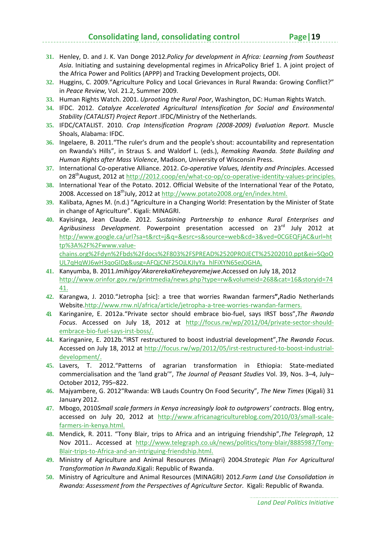- **31.** Henley, D. and J. K. Van Donge 2012.*Policy for development in Africa: Learning from Southeast Asia*. Initiating and sustaining developmental regimes in AfricaPolicy Brief 1. A joint project of the Africa Power and Politics (APPP) and Tracking Development projects, ODI.
- **32.** Huggins, C. 2009."Agriculture Policy and Local Grievances in Rural Rwanda: Growing Conflict?" in *Peace Review,* Vol. 21.2, Summer 2009.
- **33.** Human Rights Watch. 2001. *Uprooting the Rural Poor*, Washington, DC: Human Rights Watch.
- **34.** IFDC. 2012. *Catalyze Accelerated Agricultural Intensification for Social and Environmental Stability (CATALIST) Project Report .*IFDC/Ministry of the Netherlands.
- **35.** IFDC/CATALIST. 2010. *Crop Intensification Program (2008‐2009) Evaluation Report*. Muscle Shoals, Alabama: IFDC.
- **36.** Ingelaere, B. 2011."The ruler's drum and the people's shout: accountability and representation on Rwanda's Hills", in Straus S. and Waldorf L. (eds.), *Remaking Rwanda. State Building and Human Rights after Mass Violence*, Madison, University of Wisconsin Press.
- **37.** International Co‐operative Alliance. 2012. *Co‐operative Values, Identity and Principles*. Accessed on 28<sup>th</sup>August, 2012 at http://2012.coop/en/what-co-op/co-operative-identity-values-principles.
- **38.** International Year of the Potato. 2012. Official Website of the International Year of the Potato, 2008. Accessed on 18<sup>th</sup>July, 2012 at http://www.potato2008.org/en/index.html.
- **39.** Kalibata, Agnes M. (n.d.) "Agriculture in a Changing World: Presentation by the Minister of State in change of Agriculture". Kigali: MINAGRI.
- **40.** Kayisinga, Jean Claude. 2012. *Sustaining Partnership to enhance Rural Enterprises and Agribusiness Development*. Powerpoint presentation accessed on 23rd July 2012 at http://www.google.ca/url?sa=t&rct=j&q=&esrc=s&source=web&cd=3&ved=0CGEQFjAC&url=ht tp%3A%2F%2Fwww.value‐

chains.org%2Fdyn%2Fbds%2Fdocs%2F803%2FSPREAD%2520PROJECT%25202010.ppt&ei=SQoO UL7qHqWJ6wH3qoGIDg&usg=AFQjCNF25OjLKJIyYa\_hlFiXYN65ejOGHA.

- **41.** Kanyumba, B. 2011.*Imihigoy'AkarerekaKireheyaremejwe*.Accessed on July 18, 2012 http://www.orinfor.gov.rw/printmedia/news.php?type=rw&volumeid=268&cat=16&storyid=74 41.
- **42.** Karangwa, J. 2010."Jetropha [sic]: a tree that worries Rwandan farmers**",**Radio Netherlands Website.http://www.rnw.nl/africa/article/jetropha-a-tree-worries-rwandan-farmers.
- **43.** Karinganire, E. 2012a."Private sector should embrace bio‐fuel, says IRST boss",*The Rwanda* Focus. Accessed on July 18, 2012 at http://focus.rw/wp/2012/04/private-sector-shouldembrace‐bio‐fuel‐says‐irst‐boss/.
- **44.** Karinganire, E. 2012b."IRST restructured to boost industrial development",*The Rwanda Focus*. Accessed on July 18, 2012 at http://focus.rw/wp/2012/05/irst-restructured-to-boost-industrialdevelopment/.
- **45.** Lavers, T. 2012."Patterns of agrarian transformation in Ethiopia: State‐mediated commercialisation and the 'land grab'", *The Journal of Peasant Studies* Vol. 39, Nos. 3–4, July– October 2012, 795–822.
- **46.** Majyambere, G. 2012"Rwanda: WB Lauds Country On Food Security", *The New Times* (Kigali) 31 January 2012.
- **47.** Mbogo, 2010*Small scale farmers in Kenya increasingly look to outgrowers' contracts*. Blog entry, accessed on July 20, 2012 at http://www.africanagricultureblog.com/2010/03/small-scalefarmers‐in‐kenya.html.
- **48.** Mendick, R. 2011. "Tony Blair, trips to Africa and an intriguing friendship",*The Telegraph*, 12 Nov 2011.. Accessed at http://www.telegraph.co.uk/news/politics/tony‐blair/8885987/Tony‐ Blair‐trips‐to‐Africa‐and‐an‐intriguing‐friendship.html.
- **49.** Ministry of Agriculture and Animal Resources (Minagri) 2004.*Strategic Plan For Agricultural Transformation In Rwanda.*Kigali: Republic of Rwanda.
- **50.** Ministry of Agriculture and Animal Resources (MINAGRI) 2012.*Farm Land Use Consolidation in Rwanda: Assessment from the Perspectives of Agriculture Sector*. Kigali: Republic of Rwanda.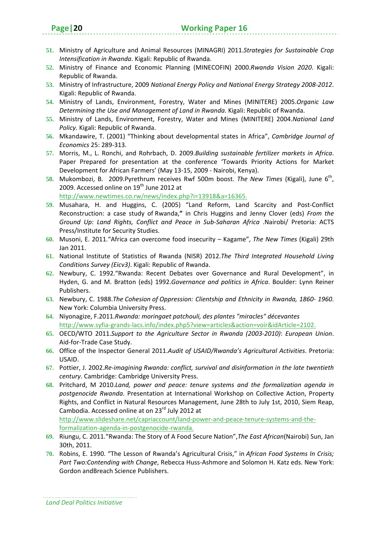- **51.** Ministry of Agriculture and Animal Resources (MINAGRI) 2011.*Strategies for Sustainable Crop Intensification in Rwanda*. Kigali: Republic of Rwanda.
- **52.** Ministry of Finance and Economic Planning (MINECOFIN) 2000.*Rwanda Vision 2020*. Kigali: Republic of Rwanda.
- **53.** Ministry of Infrastructure, 2009 *National Energy Policy and National Energy Strategy 2008‐2012*. Kigali: Republic of Rwanda.
- **54.** Ministry of Lands, Environment, Forestry, Water and Mines (MINITERE) 2005.*Organic Law Determining the Use and Management of Land in Rwanda*. Kigali: Republic of Rwanda.
- **55.** Ministry of Lands, Environment, Forestry, Water and Mines (MINITERE) 2004.*National Land Policy*. Kigali: Republic of Rwanda.
- **56.** Mkandawire, T. (2001) "Thinking about developmental states in Africa", *Cambridge Journal of Economics* 25: 289‐313.
- **57.** Morris, M., L. Ronchi, and Rohrbach, D. 2009.*Building sustainable fertilizer markets in Africa*. Paper Prepared for presentation at the conference 'Towards Priority Actions for Market Development for African Farmers' (May 13‐15, 2009 ‐ Nairobi, Kenya).
- **58.** Mukombozi, B. 2009.Pyrethrum receives Rwf 500m boost. *The New Times* (Kigali), June 6th, 2009. Accessed online on 19<sup>th</sup> June 2012 at http://www.newtimes.co.rw/news/index.php?i=13918&a=16365.
- **59.** Musahara, H. and Huggins, C. (2005) "Land Reform, Land Scarcity and Post‐Conflict Reconstruction: a case study of Rwanda,**"** in Chris Huggins and Jenny Clover (eds) *From the Ground Up: Land Rights, Conflict and Peace in Sub‐Saharan Africa* .Nairobi/ Pretoria: ACTS Press/Institute for Security Studies.
- **60.** Musoni, E. 2011."Africa can overcome food insecurity Kagame", *The New Times* (Kigali) 29th Jan 2011.
- **61.** National Institute of Statistics of Rwanda (NISR) 2012.*The Third Integrated Household Living Conditions Survey (Eicv3)*. Kigali: Republic of Rwanda.
- **62.** Newbury, C. 1992."Rwanda: Recent Debates over Governance and Rural Development", in Hyden, G. and M. Bratton (eds) 1992.*Governance and politics in Africa*. Boulder: Lynn Reiner Publishers.
- **63.** Newbury, C. 1988.*The Cohesion of Oppression: Clientship and Ethnicity in Rwanda, 1860‐ 1960*. New York: Columbia University Press.
- **64.** Niyonagize, F.2011.*Rwanda: moringaet patchouli, des plantes "miracles" décevantes* http://www.syfia‐grands‐lacs.info/index.php5?view=articles&action=voir&idArticle=2102.
- **65.** OECD/WTO 2011.*Support to the Agriculture Sector in Rwanda (2003‐2010)*: *European Union*. Aid‐for‐Trade Case Study.
- **66.** Office of the Inspector General 2011.*Audit of USAID/Rwanda's Agricultural Activities*. Pretoria: USAID.
- **67.** Pottier, J. 2002.*Re‐imagining Rwanda: conflict, survival and disinformation in the late twentieth century*. Cambridge: Cambridge University Press.
- **68.** Pritchard, M 2010.*Land, power and peace: tenure systems and the formalization agenda in postgenocide Rwanda*. Presentation at International Workshop on Collective Action, Property Rights, and Conflict in Natural Resources Management, June 28th to July 1st, 2010, Siem Reap, Cambodia. Accessed online at on 23<sup>rd</sup> July 2012 at http://www.slideshare.net/capriaccount/land-power-and-peace-tenure-systems-and-theformalization‐agenda‐in‐postgenocide‐rwanda.
- **69.** Riungu, C. 2011."Rwanda: The Story of A Food Secure Nation",*The East African*(Nairobi) Sun, Jan 30th, 2011.
- **70.** Robins, E. 1990. "The Lesson of Rwanda's Agricultural Crisis," in *African Food Systems In Crisis; Part Two:Contending with Change*, Rebecca Huss‐Ashmore and Solomon H. Katz eds. New York: Gordon andBreach Science Publishers.

*Land Deal Politics Initiative*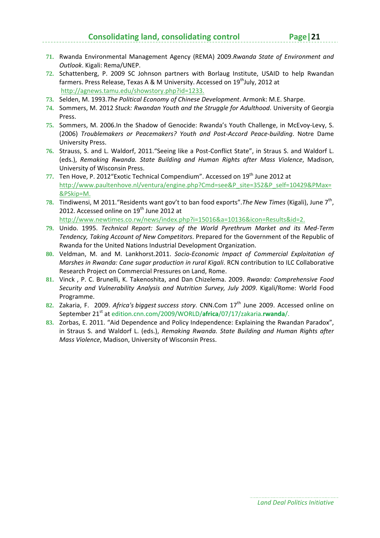- 
- **71.** Rwanda Environmental Management Agency (REMA) 2009.*Rwanda State of Environment and Outlook*. Kigali: Rema/UNEP.
- **72.** Schattenberg, P. 2009 SC Johnson partners with Borlaug Institute, USAID to help Rwandan farmers. Press Release, Texas A & M University. Accessed on 19<sup>th</sup>July, 2012 at http://agnews.tamu.edu/showstory.php?id=1233.
- **73.** Selden, M. 1993.*The Political Economy of Chinese Development*. Armonk: M.E. Sharpe.
- **74.** Sommers, M. 2012 *Stuck: Rwandan Youth and the Struggle for Adulthood*. University of Georgia Press.
- **75.** Sommers, M. 2006.In the Shadow of Genocide: Rwanda's Youth Challenge, in McEvoy‐Levy, S. (2006) *Troublemakers or Peacemakers? Youth and Post‐Accord Peace‐building*. Notre Dame University Press.
- **76.** Strauss, S. and L. Waldorf, 2011."Seeing like a Post‐Conflict State", in Straus S. and Waldorf L. (eds.), *Remaking Rwanda. State Building and Human Rights after Mass Violence*, Madison, University of Wisconsin Press.
- **77.** Ten Hove, P. 2012"Exotic Technical Compendium". Accessed on 19th June 2012 at http://www.paultenhove.nl/ventura/engine.php?Cmd=see&P\_site=352&P\_self=10429&PMax= &PSkip=M.
- **78.** Tindiwensi, M 2011."Residents want gov't to ban food exports".*The New Times* (Kigali), June 7th, 2012. Accessed online on  $19<sup>th</sup>$  June 2012 at http://www.newtimes.co.rw/news/index.php?i=15016&a=10136&icon=Results&id=2.
- **79.** Unido. 1995. *Technical Report: Survey of the World Pyrethrum Market and its Med‐Term Tendency, Taking Account of New Competitors*. Prepared for the Government of the Republic of Rwanda for the United Nations Industrial Development Organization.
- **80.** Veldman, M. and M. Lankhorst.2011. *Socio‐Economic Impact of Commercial Exploitation of Marshes in Rwanda: Cane sugar production in rural Kigali*. RCN contribution to ILC Collaborative Research Project on Commercial Pressures on Land, Rome.
- **81.** Vinck , P. C. Brunelli, K. Takenoshita, and Dan Chizelema. 2009. *Rwanda: Comprehensive Food Security and Vulnerability Analysis and Nutrition Survey, July 2009*. Kigali/Rome: World Food Programme.
- **82.** Zakaria, F. 2009. *Africa's biggest success story*. CNN.Com 17th June 2009. Accessed online on September 21st at edition.cnn.com/2009/WORLD/**africa**/07/17/zakaria.**rwanda**/.
- **83.** Zorbas, E. 2011. "Aid Dependence and Policy Independence: Explaining the Rwandan Paradox", in Straus S. and Waldorf L. (eds.), *Remaking Rwanda. State Building and Human Rights after Mass Violence*, Madison, University of Wisconsin Press.